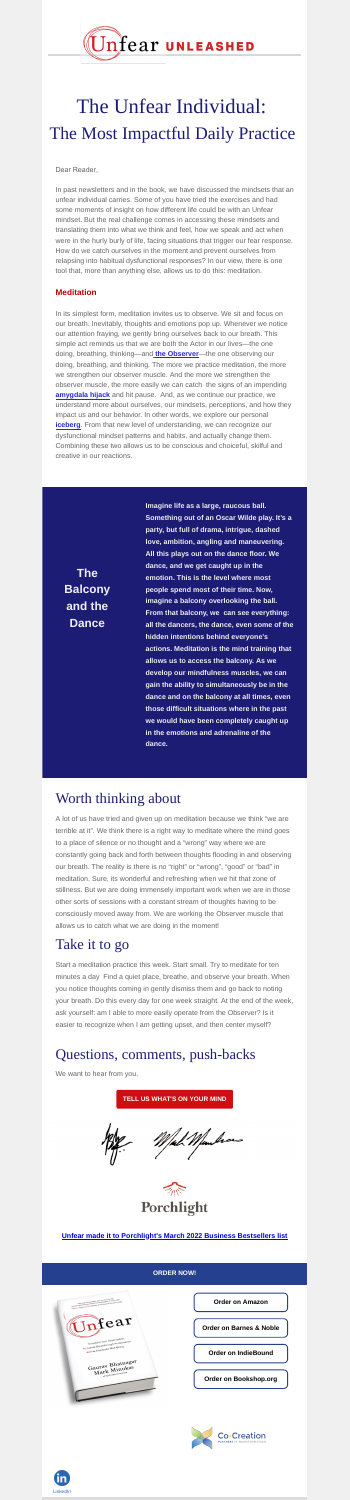**The Balcony and the Dance**

**Imagine life as a large, raucous ball. Something out of an Oscar Wilde play. It's a**

**party, but full of drama, intrigue, dashed love, ambition, angling and maneuvering. All this plays out on the dance floor. We dance, and we get caught up in the emotion. This is the level where most people spend most of their time. Now, imagine a balcony overlooking the ball. From that balcony, we can see everything: all the dancers, the dance, even some of the hidden intentions behind everyone's actions. Meditation is the mind training that allows us to access the balcony. As we develop our mindfulness muscles, we can gain the ability to simultaneously be in the dance and on the balcony at all times, even those difficult situations where in the past we would have been completely caught up in the emotions and adrenaline of the dance.**

**[Order on Amazon](https://www.amazon.com/Unfear-Organization-Breakthrough-Performance-Well-Being/dp/1264268165)**

**[Order on Barnes & Noble](https://www.barnesandnoble.com/w/unfear-gaurav-bhatnagar/1139270830)**

**[Order on IndieBound](https://www.indiebound.org/book/9781264268160)**

**[Order on Bookshop.org](https://bookshop.org/books/unfear-transform-your-organization-to-create-breakthrough-performance-and-employee-well-being/9781264268160)**







# The Unfear Individual: The Most Impactful Daily Practice

### Dear Reader,

In past newsletters and in the book, we have discussed the mindsets that an unfear individual carries. Some of you have tried the exercises and had some moments of insight on how different life could be with an Unfear mindset. But the real challenge comes in accessing these mindsets and translating them into what we think and feel, how we speak and act when were in the hurly burly of life, facing situations that trigger our fear response. How do we catch ourselves in the moment and prevent ourselves from relapsing into habitual dysfunctional responses? In our view, there is one tool that, more than anything else, allows us to do this: meditation.

## **Meditation**

In its simplest form, meditation invites us to observe. We sit and focus on our breath. Inevitably, thoughts and emotions pop up. Whenever we notice our attention fraying, we gently bring ourselves back to our breath. This simple act reminds us that we are both the Actor in our lives—the one doing, breathing, thinking—and **[the Observer](https://cocreationpartners.com/wp-content/uploads/2021/11/Unfear-Newsletter-2.pdf)**—the one observing our doing, breathing, and thinking. The more we practice meditation, the more we strengthen our observer muscle. And the more we strengthen the observer muscle, the more easily we can catch the signs of an impending **[amygdala hijack](https://cocreationpartners.com/wp-content/uploads/2022/03/Unfear-Newsletter-4.pdf)** and hit pause. And, as we continue our practice, we understand more about ourselves, our mindsets, perceptions, and how they impact us and our behavior. In other words, we explore our personal **[iceberg](https://cocreationpartners.com/wp-content/uploads/2022/03/Unfear-Newsletter-3.pdf)**. From that new level of understanding, we can recognize our dysfunctional mindset patterns and habits, and actually change them. Combining these two allows us to be conscious and choiceful, skilful and creative in our reactions.

## Worth thinking about

A lot of us have tried and given up on meditation because we think "we are terrible at it". We think there is a right way to meditate where the mind goes to a place of silence or no thought and a "wrong" way where we are constantly going back and forth between thoughts flooding in and observing our breath. The reality is there is no "right" or "wrong", "good" or "bad" in meditation. Sure, its wonderful and refreshing when we hit that zone of stillness. But we are doing immensely important work when we are in those other sorts of sessions with a constant stream of thoughts having to be consciously moved away from. We are working the Observer muscle that allows us to catch what we are doing in the moment!

## Take it to go

Start a meditation practice this week. Start small. Try to meditate for ten minutes a day Find a quiet place, breathe, and observe your breath. When you notice thoughts coming in gently dismiss them and go back to noting your breath. Do this every day for one week straight. At the end of the week, ask yourself: am I able to more easily operate from the Observer? Is it easier to recognize when I am getting upset, and then center myself?

## Questions, comments, push-backs

We want to hear from you.

#### **[TELL US WHAT'S ON YOUR MIND](mailto:GauravandMark@cocreationpartners.com?subject=UNFEAR%20Book%20Inquiry)**





### **[Unfear made it to Porchlight's March 2022 Business Bestsellers list](https://www.porchlightbooks.com/buy-books/business-bestsellers/2022/march)**

**ORDER NOW!**